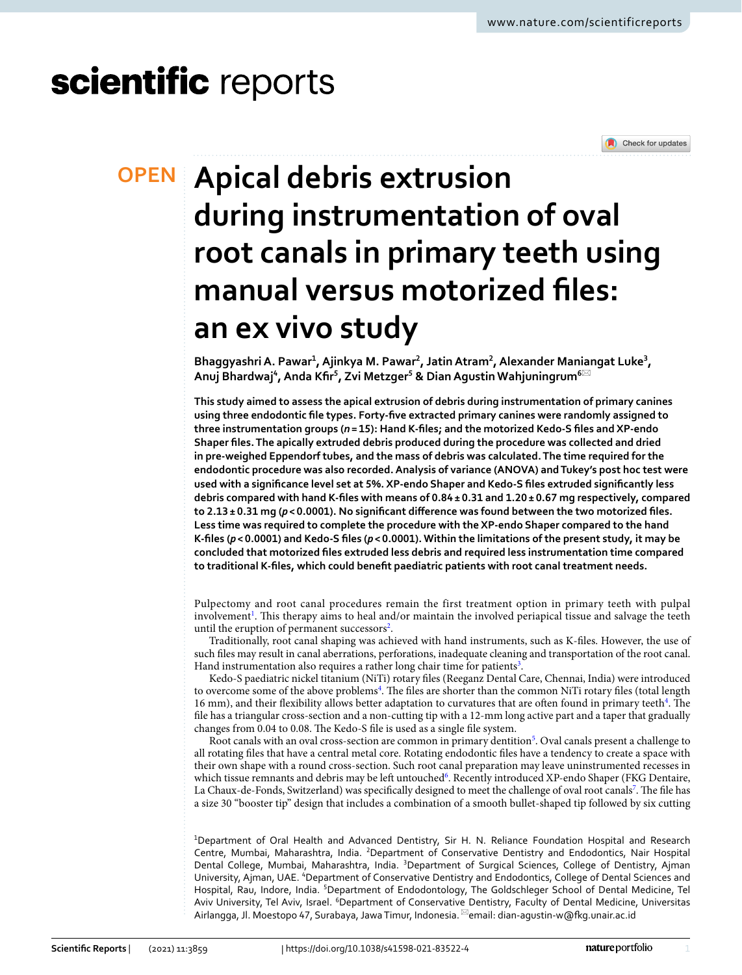# scientific reports



# **Apical debris extrusion OPEN during instrumentation of oval root canals in primary teeth using manual versus motorized files: an ex vivo study**

Bhaggyashri A. Pawar<sup>1</sup>, Ajinkya M. Pawar<sup>2</sup>, Jatin Atram<sup>2</sup>, Alexander Maniangat Luke<sup>3</sup>,  $\epsilon$ Anuj Bhardwaj<sup>4</sup>, Anda Kfir<sup>5</sup>, Zvi Metzger<sup>5</sup> & Dian Agustin Wahjuningrum<sup>6⊠</sup>

**This study aimed to assess the apical extrusion of debris during instrumentation of primary canines using three endodontic file types. Forty-five extracted primary canines were randomly assigned to three instrumentation groups (***n* **= 15): Hand K-files; and the motorized Kedo-S files and XP-endo Shaper files. The apically extruded debris produced during the procedure was collected and dried in pre-weighed Eppendorf tubes, and the mass of debris was calculated. The time required for the endodontic procedure was also recorded. Analysis of variance (ANOVA) and Tukey's post hoc test were used with a significance level set at 5%. XP-endo Shaper and Kedo-S files extruded significantly less debris compared with hand K-files with means of 0.84 ± 0.31 and 1.20 ± 0.67 mg respectively, compared to 2.13 ± 0.31 mg (***p* **< 0.0001). No significant difference was found between the two motorized files. Less time was required to complete the procedure with the XP-endo Shaper compared to the hand K-files (***p* **< 0.0001) and Kedo-S files (***p* **< 0.0001). Within the limitations of the present study, it may be concluded that motorized files extruded less debris and required less instrumentation time compared to traditional K-files, which could benefit paediatric patients with root canal treatment needs.**

Pulpectomy and root canal procedures remain the first treatment option in primary teeth with pulpal involvement<sup>[1](#page-5-0)</sup>. This therapy aims to heal and/or maintain the involved periapical tissue and salvage the teeth until the eruption of permanent successors<sup>[2](#page-5-1)</sup>.

Traditionally, root canal shaping was achieved with hand instruments, such as K-files. However, the use of such files may result in canal aberrations, perforations, inadequate cleaning and transportation of the root canal. Hand instrumentation also requires a rather long chair time for patients<sup>[3](#page-5-2)</sup>.

Kedo-S paediatric nickel titanium (NiTi) rotary files (Reeganz Dental Care, Chennai, India) were introduced to overcome some of the above problems<sup>[4](#page-5-3)</sup>. The files are shorter than the common NiTi rotary files (total length 16 mm), and their flexibility allows better adaptation to curvatures that are often found in primary teeth<sup>[4](#page-5-3)</sup>. The file has a triangular cross-section and a non-cutting tip with a 12-mm long active part and a taper that gradually changes from 0.04 to 0.08. The Kedo-S file is used as a single file system.

Root canals with an oval cross-section are common in primary dentition<sup>[5](#page-5-4)</sup>. Oval canals present a challenge to all rotating files that have a central metal core. Rotating endodontic files have a tendency to create a space with their own shape with a round cross-section. Such root canal preparation may leave uninstrumented recesses in which tissue remnants and debris may be left untouched<sup>[6](#page-5-5)</sup>. Recently introduced XP-endo Shaper (FKG Dentaire, La Chaux-de-Fonds, Switzerland) was specifically designed to meet the challenge of oval root canals<sup>[7](#page-5-6)</sup>. The file has a size 30 "booster tip" design that includes a combination of a smooth bullet-shaped tip followed by six cutting

<sup>1</sup>Department of Oral Health and Advanced Dentistry, Sir H. N. Reliance Foundation Hospital and Research Centre, Mumbai, Maharashtra, India. <sup>2</sup>Department of Conservative Dentistry and Endodontics, Nair Hospital Dental College, Mumbai, Maharashtra, India. <sup>3</sup>Department of Surgical Sciences, College of Dentistry, Ajman University, Ajman, UAE. <sup>4</sup>Department of Conservative Dentistry and Endodontics, College of Dental Sciences and Hospital, Rau, Indore, India. <sup>5</sup>Department of Endodontology, The Goldschleger School of Dental Medicine, Tel Aviv University, Tel Aviv, Israel. <sup>6</sup>Department of Conservative Dentistry, Faculty of Dental Medicine, Universitas Airlangga, Jl. Moestopo 47, Surabaya, Jawa Timur, Indonesia. \*email: dian-agustin-w@fkg.unair.ac.id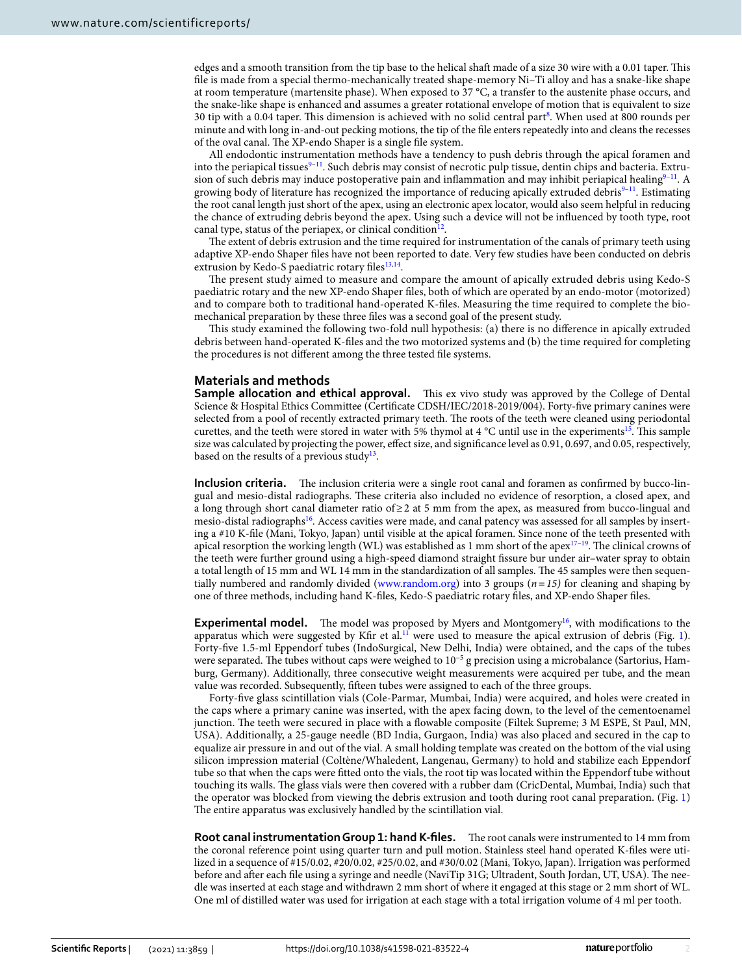edges and a smooth transition from the tip base to the helical shaft made of a size 30 wire with a 0.01 taper. This file is made from a special thermo-mechanically treated shape-memory Ni–Ti alloy and has a snake-like shape at room temperature (martensite phase). When exposed to 37 °C, a transfer to the austenite phase occurs, and the snake-like shape is enhanced and assumes a greater rotational envelope of motion that is equivalent to size 30 tip with a 0.04 taper. This dimension is achieved with no solid central part<sup>[8](#page-5-7)</sup>. When used at 800 rounds per minute and with long in-and-out pecking motions, the tip of the file enters repeatedly into and cleans the recesses of the oval canal. The XP-endo Shaper is a single file system.

All endodontic instrumentation methods have a tendency to push debris through the apical foramen and into the periapical tissues<sup>[9](#page-5-8)[–11](#page-5-9)</sup>. Such debris may consist of necrotic pulp tissue, dentin chips and bacteria. Extrusion of such debris may induce postoperative pain and inflammation and may inhibit periapical healing $9-11$  $9-11$ . A growing body of literature has recognized the importance of reducing apically extruded debris<sup>9-[11](#page-5-9)</sup>. Estimating the root canal length just short of the apex, using an electronic apex locator, would also seem helpful in reducing the chance of extruding debris beyond the apex. Using such a device will not be influenced by tooth type, root canal type, status of the periapex, or clinical condition<sup>[12](#page-5-10)</sup>.

The extent of debris extrusion and the time required for instrumentation of the canals of primary teeth using adaptive XP-endo Shaper files have not been reported to date. Very few studies have been conducted on debris extrusion by Kedo-S paediatric rotary files<sup>[13,](#page-5-11)[14](#page-5-12)</sup>.

The present study aimed to measure and compare the amount of apically extruded debris using Kedo-S paediatric rotary and the new XP-endo Shaper files, both of which are operated by an endo-motor (motorized) and to compare both to traditional hand-operated K-files. Measuring the time required to complete the biomechanical preparation by these three files was a second goal of the present study.

This study examined the following two-fold null hypothesis: (a) there is no difference in apically extruded debris between hand-operated K-files and the two motorized systems and (b) the time required for completing the procedures is not different among the three tested file systems.

#### **Materials and methods**

**Sample allocation and ethical approval.** This ex vivo study was approved by the College of Dental Science & Hospital Ethics Committee (Certificate CDSH/IEC/2018-2019/004). Forty-five primary canines were selected from a pool of recently extracted primary teeth. The roots of the teeth were cleaned using periodontal curettes, and the teeth were stored in water with 5% thymol at 4 °C until use in the experiments<sup>[15](#page-5-13)</sup>. This sample size was calculated by projecting the power, effect size, and significance level as 0.91, 0.697, and 0.05, respectively, based on the results of a previous study<sup>[13](#page-5-11)</sup>.

**Inclusion criteria.** The inclusion criteria were a single root canal and foramen as confirmed by bucco-lingual and mesio-distal radiographs. These criteria also included no evidence of resorption, a closed apex, and a long through short canal diameter ratio of  $\geq 2$  at 5 mm from the apex, as measured from bucco-lingual and mesio-distal radiographs<sup>[16](#page-5-14)</sup>. Access cavities were made, and canal patency was assessed for all samples by inserting a #10 K-file (Mani, Tokyo, Japan) until visible at the apical foramen. Since none of the teeth presented with apical resorption the working length (WL) was established as 1 mm short of the apex $17-19$  $17-19$ . The clinical crowns of the teeth were further ground using a high-speed diamond straight fissure bur under air–water spray to obtain a total length of 15 mm and WL 14 mm in the standardization of all samples. The 45 samples were then sequentially numbered and randomly divided (www.random.org) into 3 groups ( $n = 15$ ) for cleaning and shaping by one of three methods, including hand K-files, Kedo-S paediatric rotary files, and XP-endo Shaper files.

**Experimental model.** The model was proposed by Myers and Montgomery<sup>[16](#page-5-14)</sup>, with modifications to the apparatus which were suggested by Kfir et al.<sup>[11](#page-5-9)</sup> were used to measure the apical extrusion of debris (Fig. [1](#page-2-0)). Forty-five 1.5-ml Eppendorf tubes (IndoSurgical, New Delhi, India) were obtained, and the caps of the tubes were separated. The tubes without caps were weighed to 10−5 g precision using a microbalance (Sartorius, Hamburg, Germany). Additionally, three consecutive weight measurements were acquired per tube, and the mean value was recorded. Subsequently, fifteen tubes were assigned to each of the three groups.

Forty-five glass scintillation vials (Cole-Parmar, Mumbai, India) were acquired, and holes were created in the caps where a primary canine was inserted, with the apex facing down, to the level of the cementoenamel junction. The teeth were secured in place with a flowable composite (Filtek Supreme; 3 M ESPE, St Paul, MN, USA). Additionally, a 25-gauge needle (BD India, Gurgaon, India) was also placed and secured in the cap to equalize air pressure in and out of the vial. A small holding template was created on the bottom of the vial using silicon impression material (Coltène/Whaledent, Langenau, Germany) to hold and stabilize each Eppendorf tube so that when the caps were fitted onto the vials, the root tip was located within the Eppendorf tube without touching its walls. The glass vials were then covered with a rubber dam (CricDental, Mumbai, India) such that the operator was blocked from viewing the debris extrusion and tooth during root canal preparation. (Fig. [1](#page-2-0)) The entire apparatus was exclusively handled by the scintillation vial.

**Root canal instrumentation Group 1: hand K-files.** The root canals were instrumented to 14 mm from the coronal reference point using quarter turn and pull motion. Stainless steel hand operated K-files were utilized in a sequence of #15/0.02, #20/0.02, #25/0.02, and #30/0.02 (Mani, Tokyo, Japan). Irrigation was performed before and after each file using a syringe and needle (NaviTip 31G; Ultradent, South Jordan, UT, USA). The needle was inserted at each stage and withdrawn 2 mm short of where it engaged at this stage or 2 mm short of WL. One ml of distilled water was used for irrigation at each stage with a total irrigation volume of 4 ml per tooth.

2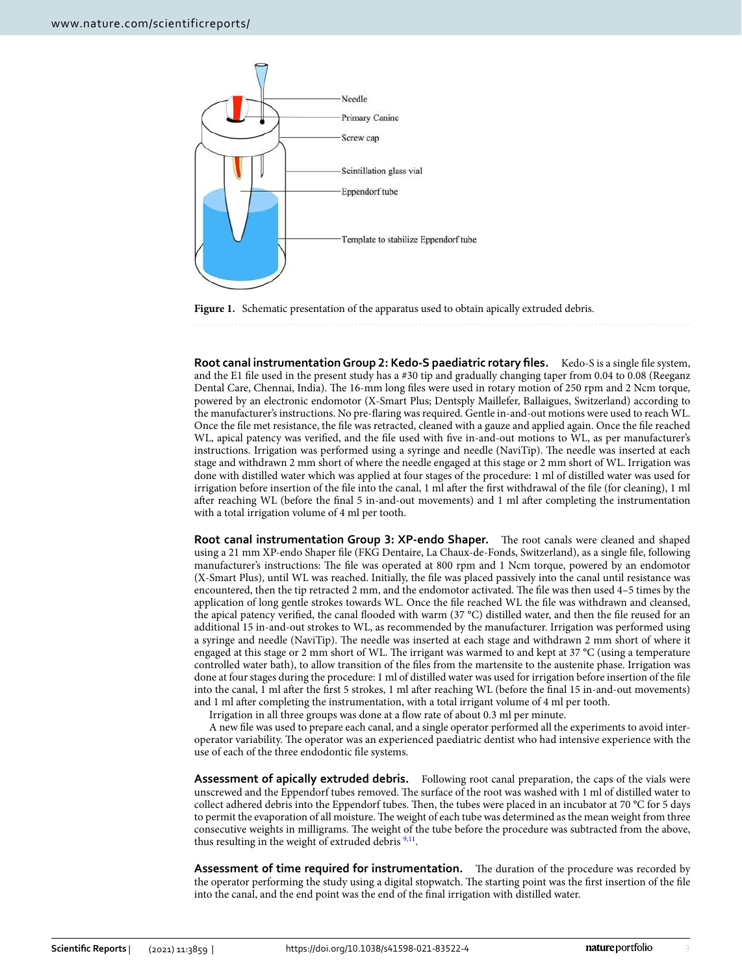

<span id="page-2-0"></span>**Figure 1.** Schematic presentation of the apparatus used to obtain apically extruded debris.

**Root canal instrumentation Group 2: Kedo-S paediatric rotary files.** Kedo-S is a single file system, and the E1 file used in the present study has a #30 tip and gradually changing taper from 0.04 to 0.08 (Reeganz Dental Care, Chennai, India). The 16-mm long files were used in rotary motion of 250 rpm and 2 Ncm torque, powered by an electronic endomotor (X-Smart Plus; Dentsply Maillefer, Ballaigues, Switzerland) according to the manufacturer's instructions. No pre-flaring was required. Gentle in-and-out motions were used to reach WL. Once the file met resistance, the file was retracted, cleaned with a gauze and applied again. Once the file reached WL, apical patency was verified, and the file used with five in-and-out motions to WL, as per manufacturer's instructions. Irrigation was performed using a syringe and needle (NaviTip). The needle was inserted at each stage and withdrawn 2 mm short of where the needle engaged at this stage or 2 mm short of WL. Irrigation was done with distilled water which was applied at four stages of the procedure: 1 ml of distilled water was used for irrigation before insertion of the file into the canal, 1 ml after the first withdrawal of the file (for cleaning), 1 ml after reaching WL (before the final 5 in-and-out movements) and 1 ml after completing the instrumentation with a total irrigation volume of 4 ml per tooth.

**Root canal instrumentation Group 3: XP-endo Shaper.** The root canals were cleaned and shaped using a 21 mm XP-endo Shaper file (FKG Dentaire, La Chaux-de-Fonds, Switzerland), as a single file, following manufacturer's instructions: The file was operated at 800 rpm and 1 Ncm torque, powered by an endomotor (X-Smart Plus), until WL was reached. Initially, the file was placed passively into the canal until resistance was encountered, then the tip retracted 2 mm, and the endomotor activated. The file was then used 4–5 times by the application of long gentle strokes towards WL. Once the file reached WL the file was withdrawn and cleansed, the apical patency verified, the canal flooded with warm (37 °C) distilled water, and then the file reused for an additional 15 in-and-out strokes to WL, as recommended by the manufacturer. Irrigation was performed using a syringe and needle (NaviTip). The needle was inserted at each stage and withdrawn 2 mm short of where it engaged at this stage or 2 mm short of WL. The irrigant was warmed to and kept at 37 °C (using a temperature controlled water bath), to allow transition of the files from the martensite to the austenite phase. Irrigation was done at four stages during the procedure: 1 ml of distilled water was used for irrigation before insertion of the file into the canal, 1 ml after the first 5 strokes, 1 ml after reaching WL (before the final 15 in-and-out movements) and 1 ml after completing the instrumentation, with a total irrigant volume of 4 ml per tooth.

Irrigation in all three groups was done at a flow rate of about 0.3 ml per minute.

A new file was used to prepare each canal, and a single operator performed all the experiments to avoid interoperator variability. The operator was an experienced paediatric dentist who had intensive experience with the use of each of the three endodontic file systems.

**Assessment of apically extruded debris.** Following root canal preparation, the caps of the vials were unscrewed and the Eppendorf tubes removed. The surface of the root was washed with 1 ml of distilled water to collect adhered debris into the Eppendorf tubes. Then, the tubes were placed in an incubator at 70 °C for 5 days to permit the evaporation of all moisture. The weight of each tube was determined as the mean weight from three consecutive weights in milligrams. The weight of the tube before the procedure was subtracted from the above, thus resulting in the weight of extruded debris<sup>[9,](#page-5-8)[11](#page-5-9)</sup>.

**Assessment of time required for instrumentation.** The duration of the procedure was recorded by the operator performing the study using a digital stopwatch. The starting point was the first insertion of the file into the canal, and the end point was the end of the final irrigation with distilled water.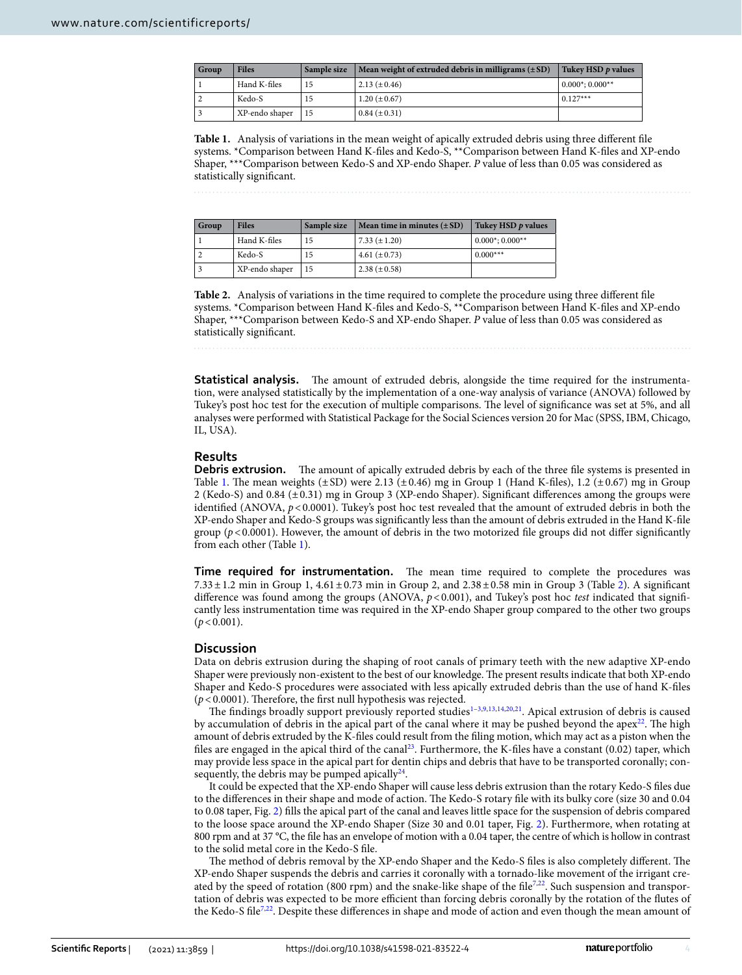| <b>Group</b> | <b>Files</b>   | Sample size | $\vert$ Mean weight of extruded debris in milligrams ( $\pm$ SD) | Tukey HSD p values  |
|--------------|----------------|-------------|------------------------------------------------------------------|---------------------|
|              | Hand K-files   | 15          | $2.13 (\pm 0.46)$                                                | $0.000^*$ ; 0.000** |
|              | Kedo-S         |             | $1.20 (\pm 0.67)$                                                | $0.127***$          |
|              | XP-endo shaper | 15          | $0.84 (\pm 0.31)$                                                |                     |

<span id="page-3-0"></span>**Table 1.** Analysis of variations in the mean weight of apically extruded debris using three different file systems. \*Comparison between Hand K-files and Kedo-S, \*\*Comparison between Hand K-files and XP-endo Shaper, \*\*\*Comparison between Kedo-S and XP-endo Shaper. P value of less than 0.05 was considered as statistically significant.

| Group | <b>Files</b>   | Sample size | Mean time in minutes $(\pm SD)$ | Tukey HSD p values    |
|-------|----------------|-------------|---------------------------------|-----------------------|
|       | Hand K-files   | 15          | $7.33 (\pm 1.20)$               | $0.000^*; 0.000^{**}$ |
|       | Kedo-S         | 15          | 4.61 $(\pm 0.73)$               | $0.000***$            |
|       | XP-endo shaper | 15          | 2.38 $(\pm 0.58)$               |                       |

<span id="page-3-1"></span>**Table 2.** Analysis of variations in the time required to complete the procedure using three different file systems. \*Comparison between Hand K-files and Kedo-S, \*\*Comparison between Hand K-files and XP-endo Shaper, \*\*\*Comparison between Kedo-S and XP-endo Shaper. P value of less than 0.05 was considered as statistically significant.

**Statistical analysis.** The amount of extruded debris, alongside the time required for the instrumentation, were analysed statistically by the implementation of a one-way analysis of variance (ANOVA) followed by Tukey's post hoc test for the execution of multiple comparisons. The level of significance was set at 5%, and all analyses were performed with Statistical Package for the Social Sciences version 20 for Mac (SPSS, IBM, Chicago, IL, USA).

## **Results**

**Debris extrusion.** The amount of apically extruded debris by each of the three file systems is presented in Table [1](#page-3-0). The mean weights  $(\pm SD)$  were 2.13  $(\pm 0.46)$  mg in Group 1 (Hand K-files), 1.2  $(\pm 0.67)$  mg in Group 2 (Kedo-S) and 0.84 (± 0.31) mg in Group 3 (XP-endo Shaper). Significant differences among the groups were identified (ANOVA,  $p < 0.0001$ ). Tukey's post hoc test revealed that the amount of extruded debris in both the XP-endo Shaper and Kedo-S groups was significantly less than the amount of debris extruded in the Hand K-file group  $(p < 0.0001)$ . However, the amount of debris in the two motorized file groups did not differ significantly from each other (Table [1](#page-3-0)).

**Time required for instrumentation.** The mean time required to complete the procedures was 7.33 ± 1.2 min in Group 1, 4.61 ± 0.73 min in Group 2, and 2.38 ± 0.58 min in Group 3 (Table [2](#page-3-1)). A significant difference was found among the groups (ANOVA,  $p < 0.001$ ), and Tukey's post hoc test indicated that significantly less instrumentation time was required in the XP-endo Shaper group compared to the other two groups  $(p < 0.001)$ .

## **Discussion**

Data on debris extrusion during the shaping of root canals of primary teeth with the new adaptive XP-endo Shaper were previously non-existent to the best of our knowledge. The present results indicate that both XP-endo Shaper and Kedo-S procedures were associated with less apically extruded debris than the use of hand K-files  $(p < 0.0001)$ . Therefore, the first null hypothesis was rejected.

The findings broadly support previously reported studies<sup>[1](#page-5-0)-3,[9](#page-5-8),[13,](#page-5-11)[14,](#page-5-12)[20](#page-5-17)[,21](#page-5-18)</sup>. Apical extrusion of debris is caused by accumulation of debris in the apical part of the canal where it may be pushed beyond the apex<sup>[22](#page-5-19)</sup>. The high amount of debris extruded by the K-files could result from the filing motion, which may act as a piston when the files are engaged in the apical third of the canal<sup>[23](#page-5-20)</sup>. Furthermore, the K-files have a constant (0.02) taper, which may provide less space in the apical part for dentin chips and debris that have to be transported coronally; consequently, the debris may be pumped apically $^{24}$  $^{24}$  $^{24}$ .

It could be expected that the XP-endo Shaper will cause less debris extrusion than the rotary Kedo-S files due to the differences in their shape and mode of action. The Kedo-S rotary file with its bulky core (size 30 and 0.04 to 0.08 taper, Fig. [2\)](#page-4-0) fills the apical part of the canal and leaves little space for the suspension of debris compared to the loose space around the XP-endo Shaper (Size 30 and 0.01 taper, Fig. [2\)](#page-4-0). Furthermore, when rotating at 800 rpm and at 37 °C, the file has an envelope of motion with a 0.04 taper, the centre of which is hollow in contrast to the solid metal core in the Kedo-S file.

The method of debris removal by the XP-endo Shaper and the Kedo-S files is also completely different. The XP-endo Shaper suspends the debris and carries it coronally with a tornado-like movement of the irrigant cre-ated by the speed of rotation (800 rpm) and the snake-like shape of the file<sup>[7](#page-5-6),[22](#page-5-19)</sup>. Such suspension and transportation of debris was expected to be more efficient than forcing debris coronally by the rotation of the flutes of the Kedo-S file<sup>[7](#page-5-6)[,22](#page-5-19)</sup>. Despite these differences in shape and mode of action and even though the mean amount of

4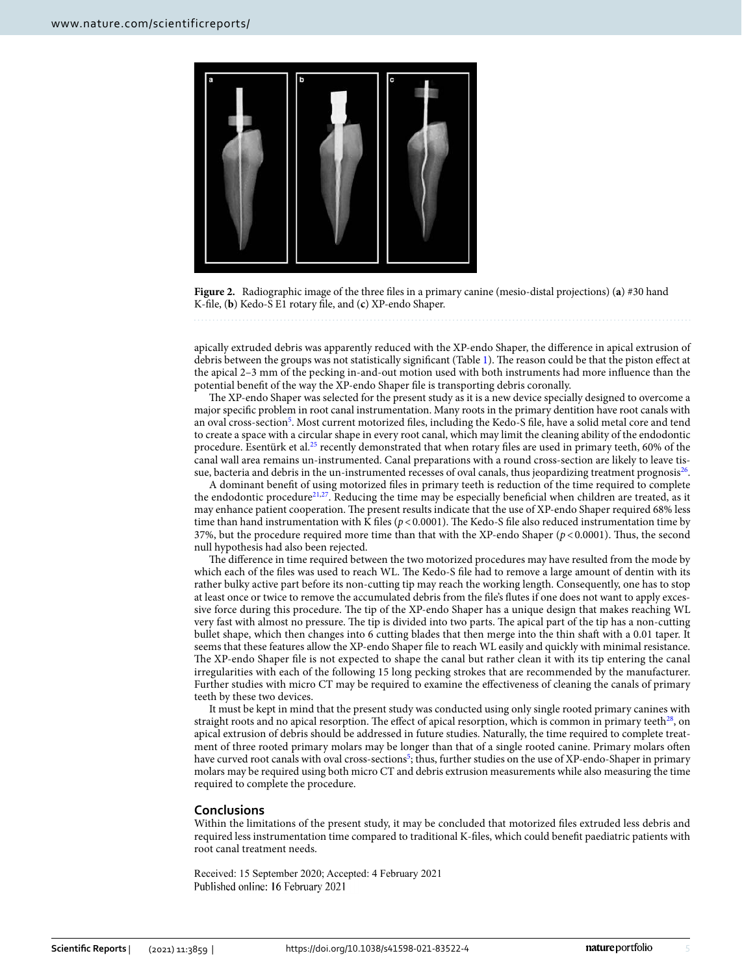

**Figure 2.** Radiographic image of the three files in a primary canine (mesio-distal projections) (**a**) #30 hand K-file, (**b**) Kedo-S E1 rotary file, and (**c**) XP-endo Shaper.

<span id="page-4-0"></span>apically extruded debris was apparently reduced with the XP-endo Shaper, the difference in apical extrusion of debris between the groups was not statistically significant (Table [1\)](#page-3-0). The reason could be that the piston effect at the apical 2–3 mm of the pecking in-and-out motion used with both instruments had more influence than the potential benefit of the way the XP-endo Shaper file is transporting debris coronally.

The XP-endo Shaper was selected for the present study as it is a new device specially designed to overcome a major specific problem in root canal instrumentation. Many roots in the primary dentition have root canals with an oval cross-section<sup>[5](#page-5-4)</sup>. Most current motorized files, including the Kedo-S file, have a solid metal core and tend to create a space with a circular shape in every root canal, which may limit the cleaning ability of the endodontic procedure. Esentürk et al.<sup>[25](#page-5-22)</sup> recently demonstrated that when rotary files are used in primary teeth, 60% of the canal wall area remains un-instrumented. Canal preparations with a round cross-section are likely to leave tissue, bacteria and debris in the un-instrumented recesses of oval canals, thus jeopardizing treatment prognosis $^{26}\!$  $^{26}\!$  $^{26}\!$ .

A dominant benefit of using motorized files in primary teeth is reduction of the time required to complete the endodontic procedure<sup>[21,](#page-5-18)[27](#page-5-24)</sup>. Reducing the time may be especially beneficial when children are treated, as it may enhance patient cooperation. The present results indicate that the use of XP-endo Shaper required 68% less time than hand instrumentation with K files ( $p < 0.0001$ ). The Kedo-S file also reduced instrumentation time by 37%, but the procedure required more time than that with the XP-endo Shaper  $(p < 0.0001)$ . Thus, the second null hypothesis had also been rejected.

The difference in time required between the two motorized procedures may have resulted from the mode by which each of the files was used to reach WL. The Kedo-S file had to remove a large amount of dentin with its rather bulky active part before its non-cutting tip may reach the working length. Consequently, one has to stop at least once or twice to remove the accumulated debris from the file's flutes if one does not want to apply excessive force during this procedure. The tip of the XP-endo Shaper has a unique design that makes reaching WL very fast with almost no pressure. The tip is divided into two parts. The apical part of the tip has a non-cutting bullet shape, which then changes into 6 cutting blades that then merge into the thin shaft with a 0.01 taper. It seems that these features allow the XP-endo Shaper file to reach WL easily and quickly with minimal resistance. The XP-endo Shaper file is not expected to shape the canal but rather clean it with its tip entering the canal irregularities with each of the following 15 long pecking strokes that are recommended by the manufacturer. Further studies with micro CT may be required to examine the effectiveness of cleaning the canals of primary teeth by these two devices.

It must be kept in mind that the present study was conducted using only single rooted primary canines with straight roots and no apical resorption. The effect of apical resorption, which is common in primary teeth<sup>[28](#page-5-25)</sup>, on apical extrusion of debris should be addressed in future studies. Naturally, the time required to complete treatment of three rooted primary molars may be longer than that of a single rooted canine. Primary molars often have curved root canals with oval cross-sections<sup>[5](#page-5-4)</sup>; thus, further studies on the use of XP-endo-Shaper in primary molars may be required using both micro CT and debris extrusion measurements while also measuring the time required to complete the procedure.

#### **Conclusions**

Within the limitations of the present study, it may be concluded that motorized files extruded less debris and required less instrumentation time compared to traditional K-files, which could benefit paediatric patients with root canal treatment needs.

Received: 15 September 2020; Accepted: 4 February 2021 Published online: 16 February 2021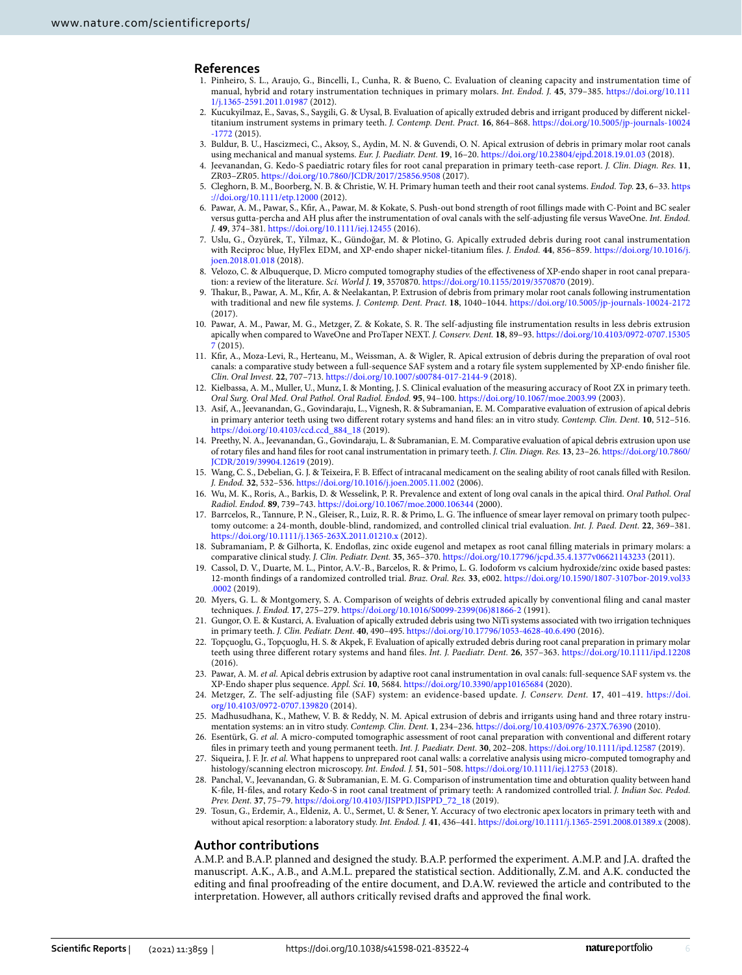### **References**

- <span id="page-5-0"></span> 1. Pinheiro, S. L., Araujo, G., Bincelli, I., Cunha, R. & Bueno, C. Evaluation of cleaning capacity and instrumentation time of manual, hybrid and rotary instrumentation techniques in primary molars. Int. Endod. J. **45**, 379–385. [https ://doi.org/10.111](https://doi.org/10.1111/j.1365-2591.2011.01987) [1/j.1365-2591.2011.01987](https://doi.org/10.1111/j.1365-2591.2011.01987)(2012).
- <span id="page-5-1"></span> 2. Kucukyilmaz, E., Savas, S., Saygili, G. & Uysal, B. Evaluation of apically extruded debris and irrigant produced by different nickeltitanium instrument systems in primary teeth. J. Contemp. Dent. Pract. **16**, 864–868. https://doi.org/10.5005/jp-journals-10024 [-1772](https://doi.org/10.5005/jp-journals-10024-1772) (2015).
- <span id="page-5-2"></span> 3. Buldur, B. U., Hascizmeci, C., Aksoy, S., Aydin, M. N. & Guvendi, O. N. Apical extrusion of debris in primary molar root canals using mechanical and manual systems. Eur. J. Paediatr. Dent. **19**, 16–20. [https ://doi.org/10.23804 /ejpd.2018.19.01.03](https://doi.org/10.23804/ejpd.2018.19.01.03) (2018).
- <span id="page-5-3"></span> 4. Jeevanandan, G. Kedo-S paediatric rotary files for root canal preparation in primary teeth-case report. J. Clin. Diagn. Res. **11**, ZR03–ZR05. [https ://doi.org/10.7860/JCDR/2017/25856 .9508](https://doi.org/10.7860/JCDR/2017/25856.9508) (2017).
- <span id="page-5-4"></span> 5. Cleghorn, B. M., Boorberg, N. B. & Christie, W. H. Primary human teeth and their root canal systems. Endod. Top. **23**, 6–33. [https](https://doi.org/10.1111/etp.12000) [://doi.org/10.1111/etp.12000](https://doi.org/10.1111/etp.12000)(2012).
- <span id="page-5-5"></span> 6. Pawar, A. M., Pawar, S., Kfir, A., Pawar, M. & Kokate, S. Push-out bond strength of root fillings made with C-Point and BC sealer versus gutta-percha and AH plus after the instrumentation of oval canals with the self-adjusting file versus WaveOne. Int. Endod. J. **49**, 374–381. [https ://doi.org/10.1111/iej.12455](https://doi.org/10.1111/iej.12455)(2016).
- <span id="page-5-6"></span> 7. Uslu, G., Özyürek, T., Yilmaz, K., Gündoğar, M. & Plotino, G. Apically extruded debris during root canal instrumentation with Reciproc blue, HyFlex EDM, and XP-endo shaper nickel-titanium files. J. Endod. 44, 856–859. https://doi.org/10.1016/j. [joen.2018.01.018](https://doi.org/10.1016/j.joen.2018.01.018) (2018).
- <span id="page-5-7"></span> 8. Velozo, C. & Albuquerque, D. Micro computed tomography studies of the effectiveness of XP-endo shaper in root canal preparation: a review of the literature. Sci. World J. **19**, 3570870. [https ://doi.org/10.1155/2019/35708 70](https://doi.org/10.1155/2019/3570870) (2019).
- <span id="page-5-8"></span> 9. Thakur, B., Pawar, A. M., Kfir, A. & Neelakantan, P. Extrusion of debris from primary molar root canals following instrumentation with traditional and new file systems. J. Contemp. Dent. Pract. 18, 1040-1044. https://doi.org/10.5005/jp-journals-10024-2172 (2017).
- 10. Pawar, A. M., Pawar, M. G., Metzger, Z. & Kokate, S. R. The self-adjusting file instrumentation results in less debris extrusion apically when compared to WaveOne and ProTaper NEXT. J. Conserv. Dent. **18**, 89–93. [https ://doi.org/10.4103/0972-0707.15305](https://doi.org/10.4103/0972-0707.153057)  $(2015)$
- <span id="page-5-9"></span> 11. Kfir, A., Moza-Levi, R., Herteanu, M., Weissman, A. & Wigler, R. Apical extrusion of debris during the preparation of oval root canals: a comparative study between a full-sequence SAF system and a rotary file system supplemented by XP-endo finisher file. Clin. Oral Invest. 22, 707-713. https://doi.org/10.1007/s00784-017-2144-9 (2018).
- <span id="page-5-10"></span> 12. Kielbassa, A. M., Muller, U., Munz, I. & Monting, J. S. Clinical evaluation of the measuring accuracy of Root ZX in primary teeth. Oral Surg. Oral Med. Oral Pathol. Oral Radiol. Endod. **95**, 94–100. [https ://doi.org/10.1067/moe.2003.99](https://doi.org/10.1067/moe.2003.99) (2003).
- <span id="page-5-11"></span> 13. Asif, A., Jeevanandan, G., Govindaraju, L., Vignesh, R. & Subramanian, E. M. Comparative evaluation of extrusion of apical debris in primary anterior teeth using two different rotary systems and hand files: an in vitro study. Contemp. Clin. Dent. **10**, 512–516. [https ://doi.org/10.4103/ccd.ccd\\_884\\_18](https://doi.org/10.4103/ccd.ccd_884_18) (2019).
- <span id="page-5-12"></span> 14. Preethy, N. A., Jeevanandan, G., Govindaraju, L. & Subramanian, E. M. Comparative evaluation of apical debris extrusion upon use of rotary files and hand files for root canal instrumentation in primary teeth. J. Clin. Diagn. Res. **13**, 23–26. [https ://doi.org/10.7860/](https://doi.org/10.7860/JCDR/2019/39904.12619) [JCDR/2019/39904 .12619](https://doi.org/10.7860/JCDR/2019/39904.12619)(2019).
- <span id="page-5-13"></span> 15. Wang, C. S., Debelian, G. J. & Teixeira, F. B. Effect of intracanal medicament on the sealing ability of root canals filled with Resilon. J. Endod. **32**, 532–536. [https ://doi.org/10.1016/j.joen.2005.11.002](https://doi.org/10.1016/j.joen.2005.11.002) (2006).
- <span id="page-5-14"></span> 16. Wu, M. K., Roris, A., Barkis, D. & Wesselink, P. R. Prevalence and extent of long oval canals in the apical third. Oral Pathol. Oral Radiol. Endod. **89**, 739–743. [https ://doi.org/10.1067/moe.2000.10634 4](https://doi.org/10.1067/moe.2000.106344) (2000).
- <span id="page-5-15"></span> 17. Barrcelos, R., Tannure, P. N., Gleiser, R., Luiz, R. R. & Primo, L. G. The influence of smear layer removal on primary tooth pulpectomy outcome: a 24-month, double-blind, randomized, and controlled clinical trial evaluation. Int. J. Paed. Dent. **22**, 369–381. https://doi.org/10.1111/j.1365-263X.2011.01210.x (2012).
- 18. Subramaniam, P. & Gilhorta, K. Endoflas, zinc oxide eugenol and metapex as root canal filling materials in primary molars: a comparative clinical study. J. Clin. Pediatr. Dent. **35**, 365–370. [https ://doi.org/10.17796 /jcpd.35.4.1377v 06621 14323 3](https://doi.org/10.17796/jcpd.35.4.1377v06621143233) (2011).
- <span id="page-5-16"></span> 19. Cassol, D. V., Duarte, M. L., Pintor, A.V.-B., Barcelos, R. & Primo, L. G. Iodoform vs calcium hydroxide/zinc oxide based pastes: 12-month findings of a randomized controlled trial. Braz. Oral. Res. 33, e002. https://doi.org/10.1590/1807-3107bor-2019.vol33 [.0002](https://doi.org/10.1590/1807-3107bor-2019.vol33.0002) (2019).
- <span id="page-5-17"></span> 20. Myers, G. L. & Montgomery, S. A. Comparison of weights of debris extruded apically by conventional filing and canal master techniques. J. Endod. 17, 275-279. https://doi.org/10.1016/S0099-2399(06)81866-2 (1991).
- <span id="page-5-18"></span> 21. Gungor, O. E. & Kustarci, A. Evaluation of apically extruded debris using two NiTi systems associated with two irrigation techniques in primary teeth. J. Clin. Pediatr. Dent. **40**, 490–495. [https ://doi.org/10.17796 /1053-4628-40.6.490](https://doi.org/10.17796/1053-4628-40.6.490) (2016).
- <span id="page-5-19"></span> 22. Topçuoglu, G., Topçuoglu, H. S. & Akpek, F. Evaluation of apically extruded debris during root canal preparation in primary molar teeth using three different rotary systems and hand files. Int. J. Paediatr. Dent. **26**, 357–363. [https ://doi.org/10.1111/ipd.12208](https://doi.org/10.1111/ipd.12208) (2016).
- <span id="page-5-20"></span>23. Pawar, A. M. et al. Apical debris extrusion by adaptive root canal instrumentation in oval canals: full-sequence SAF system vs. the XP-Endo shaper plus sequence. Appl. Sci. **10**, 5684. [https ://doi.org/10.3390/app10 16568 4](https://doi.org/10.3390/app10165684) (2020).
- <span id="page-5-21"></span> 24. Metzger, Z. The self-adjusting file (SAF) system: an evidence-based update. J. Conserv. Dent. **17**, 401–419. [https ://doi.](https://doi.org/10.4103/0972-0707.139820) org/10.4103/0972-0707.139820 (2014).
- <span id="page-5-22"></span> 25. Madhusudhana, K., Mathew, V. B. & Reddy, N. M. Apical extrusion of debris and irrigants using hand and three rotary instrumentation systems: an in vitro study. Contemp. Clin. Dent. **1**, 234–236. [https ://doi.org/10.4103/0976-237X.76390](https://doi.org/10.4103/0976-237X.76390)(2010).
- <span id="page-5-23"></span> 26. Esentürk, G. et al. A micro-computed tomographic assessment of root canal preparation with conventional and different rotary files in primary teeth and young permanent teeth. Int. J. Paediatr. Dent. **30**, 202–208. [https ://doi.org/10.1111/ipd.12587](https://doi.org/10.1111/ipd.12587)(2019).
- <span id="page-5-24"></span>27. Siqueira, J. F. Jr. et al. What happens to unprepared root canal walls: a correlative analysis using micro-computed tomography and histology/scanning electron microscopy. Int. Endod. J. **51**, 501–508. [https ://doi.org/10.1111/iej.12753](https://doi.org/10.1111/iej.12753)(2018).
- <span id="page-5-25"></span>Panchal, V., Jeevanandan, G. & Subramanian, E. M. G. Comparison of instrumentation time and obturation quality between hand K-file, H-files, and rotary Kedo-S in root canal treatment of primary teeth: A randomized controlled trial. J. Indian Soc. Pedod. Prev. Dent. 37, 75-79. https://doi.org/10.4103/JISPPD.JISPPD\_72\_18 (2019).
- 29. Tosun, G., Erdemir, A., Eldeniz, A. U., Sermet, U. & Sener, Y. Accuracy of two electronic apex locators in primary teeth with and without apical resorption: a laboratory study. Int. Endod. J. 41, 436-441. https://doi.org/10.1111/j.1365-2591.2008.01389.x (2008).

# **Author contributions**

A.M.P. and B.A.P. planned and designed the study. B.A.P. performed the experiment. A.M.P. and J.A. drafted the manuscript. A.K., A.B., and A.M.L. prepared the statistical section. Additionally, Z.M. and A.K. conducted the editing and final proofreading of the entire document, and D.A.W. reviewed the article and contributed to the interpretation. However, all authors critically revised drafts and approved the final work.